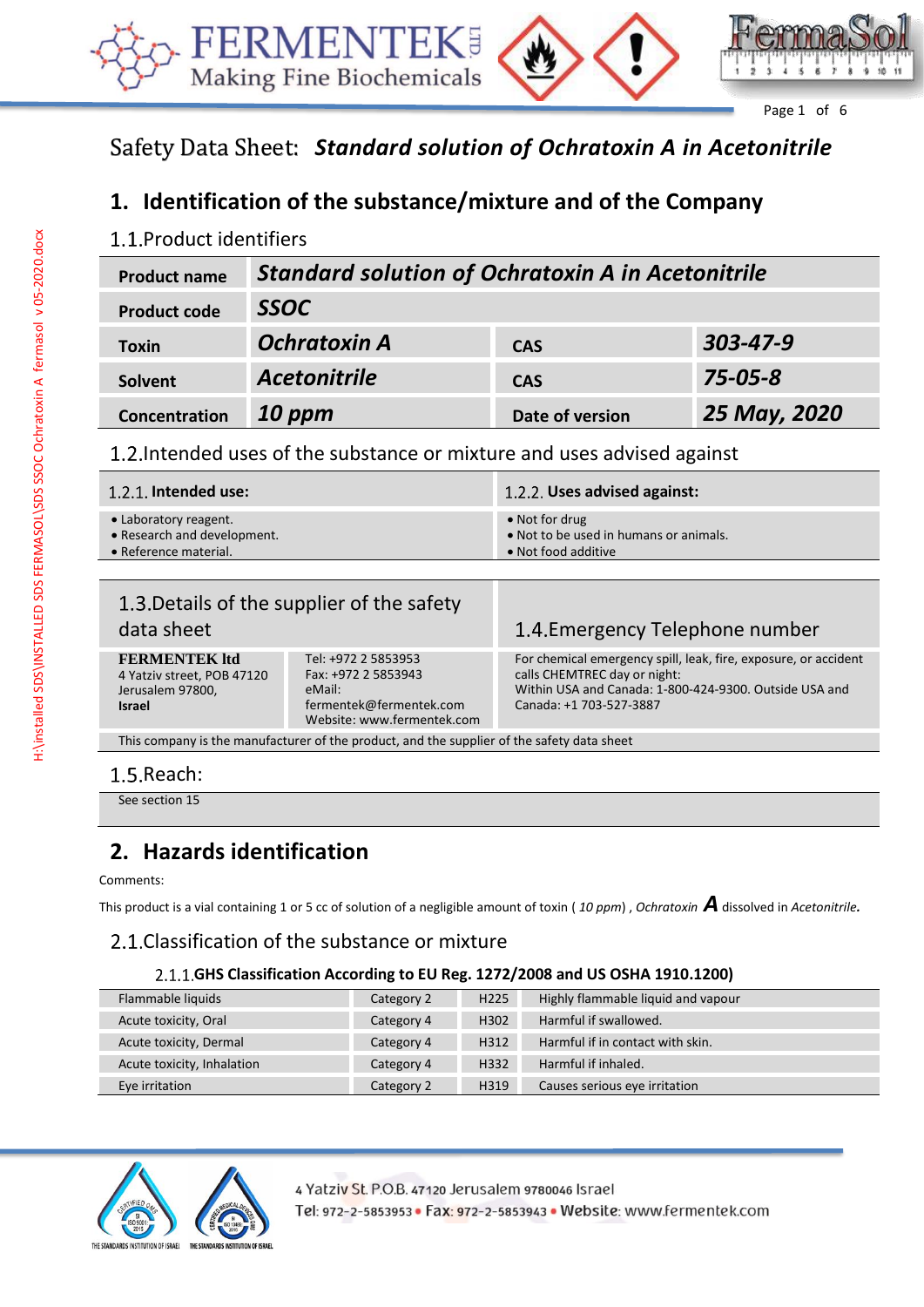



Page 1 of 6

# Safety Data Sheet: *Standard solution of Ochratoxin A in Acetonitrile*

# **1. Identification of the substance/mixture and of the Company**

## 1.1. Product identifiers

| <b>Product name</b> | <b>Standard solution of Ochratoxin A in Acetonitrile</b> |                 |                |
|---------------------|----------------------------------------------------------|-----------------|----------------|
| <b>Product code</b> | <b>SSOC</b>                                              |                 |                |
| <b>Toxin</b>        | <b>Ochratoxin A</b>                                      | <b>CAS</b>      | $303 - 47 - 9$ |
| Solvent             | <b>Acetonitrile</b>                                      | <b>CAS</b>      | $75 - 05 - 8$  |
| Concentration       | $10$ ppm                                                 | Date of version | 25 May, 2020   |

1.2. Intended uses of the substance or mixture and uses advised against

| $1.2.1$ . Intended use:     | 1.2.2. Uses advised against:           |
|-----------------------------|----------------------------------------|
| • Laboratory reagent.       | $\bullet$ Not for drug                 |
| • Research and development. | • Not to be used in humans or animals. |
| • Reference material.       | • Not food additive                    |

| data sheet                                                                                 | 1.3. Details of the supplier of the safety                                                                    | 1.4. Emergency Telephone number                                                                                                                                                      |
|--------------------------------------------------------------------------------------------|---------------------------------------------------------------------------------------------------------------|--------------------------------------------------------------------------------------------------------------------------------------------------------------------------------------|
| <b>FERMENTEK ltd</b><br>4 Yatziv street, POB 47120<br>Jerusalem 97800,<br><b>Israel</b>    | Tel: +972 2 5853953<br>Fax: +972 2 5853943<br>eMail:<br>fermentek@fermentek.com<br>Website: www.fermentek.com | For chemical emergency spill, leak, fire, exposure, or accident<br>calls CHEMTREC day or night:<br>Within USA and Canada: 1-800-424-9300. Outside USA and<br>Canada: +1 703-527-3887 |
| This company is the manufacturer of the product, and the supplier of the safety data sheet |                                                                                                               |                                                                                                                                                                                      |

# 1.5. Reach:

See section 15

# **2. Hazards identification**

#### Comments:

This product is a vial containing 1 or 5 cc of solution of a negligible amount of toxin ( *<sup>10</sup> ppm*) , *Ochratoxin A*dissolved in *Acetonitrile.*

### 2.1. Classification of the substance or mixture

#### **GHS Classification According to EU Reg. 1272/2008 and US OSHA 1910.1200)**

| Highly flammable liquid and vapour<br>Flammable liquids<br>H <sub>225</sub><br>Category 2<br>Harmful if swallowed.<br>Acute toxicity, Oral<br>H302<br>Category 4<br>Harmful if in contact with skin.<br>Acute toxicity, Dermal<br>H312<br>Category 4<br>Harmful if inhaled.<br>Acute toxicity, Inhalation<br>H332<br>Category 4 |                |            |      |                               |
|---------------------------------------------------------------------------------------------------------------------------------------------------------------------------------------------------------------------------------------------------------------------------------------------------------------------------------|----------------|------------|------|-------------------------------|
|                                                                                                                                                                                                                                                                                                                                 |                |            |      |                               |
|                                                                                                                                                                                                                                                                                                                                 |                |            |      |                               |
|                                                                                                                                                                                                                                                                                                                                 |                |            |      |                               |
|                                                                                                                                                                                                                                                                                                                                 |                |            |      |                               |
|                                                                                                                                                                                                                                                                                                                                 | Eye irritation | Category 2 | H319 | Causes serious eye irritation |

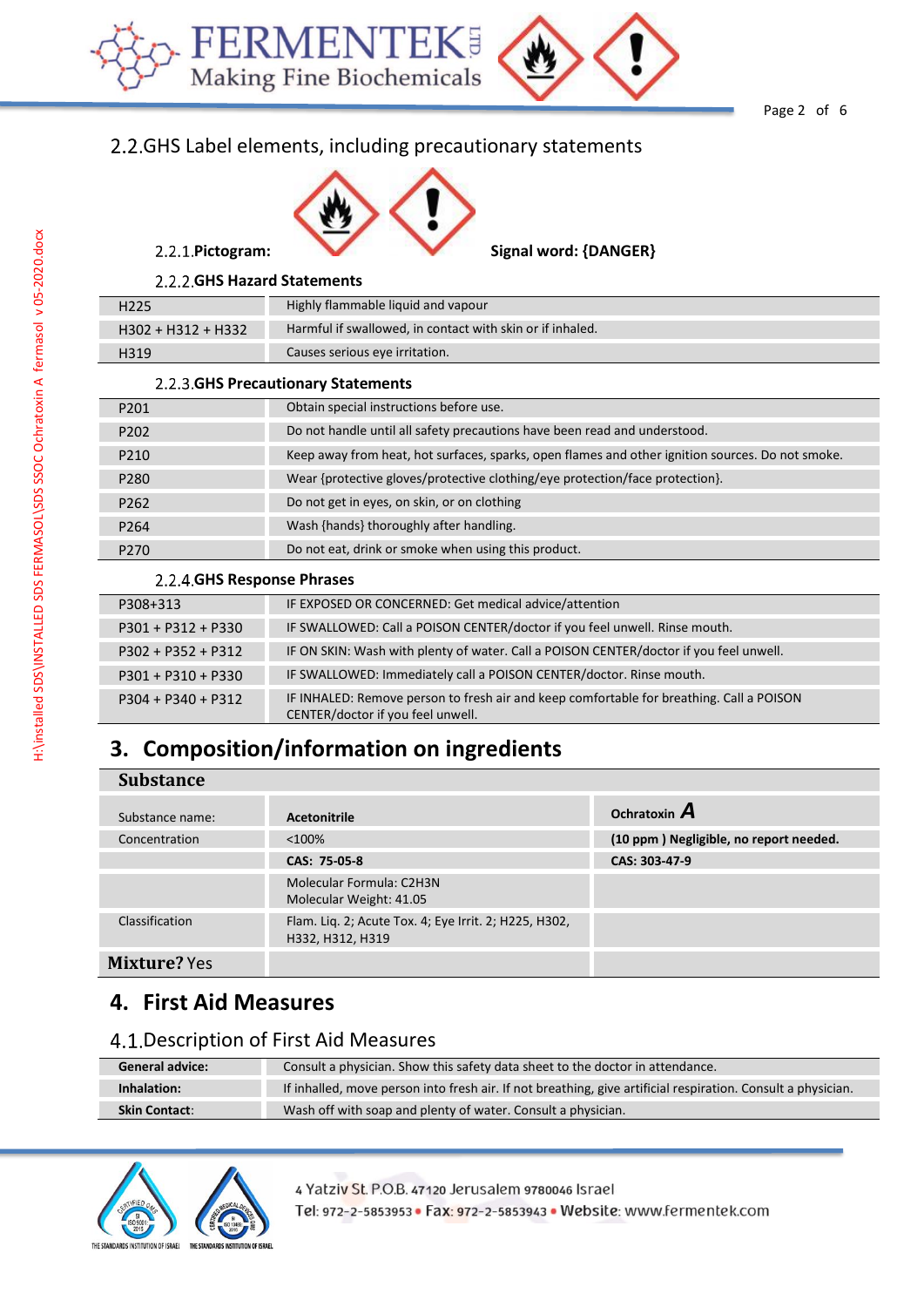

Page 2 of 6

## 2.2. GHS Label elements, including precautionary statements



#### **GHS Hazard Statements**

| H <sub>225</sub>                    | Highly flammable liquid and vapour                        |
|-------------------------------------|-----------------------------------------------------------|
| $H302 + H312 + H332$                | Harmful if swallowed, in contact with skin or if inhaled. |
| H319                                | Causes serious eye irritation.                            |
| 2.2.3. GHS Precautionary Statements |                                                           |

| P <sub>201</sub> | Obtain special instructions before use.                                                          |
|------------------|--------------------------------------------------------------------------------------------------|
| P <sub>202</sub> | Do not handle until all safety precautions have been read and understood.                        |
| P <sub>210</sub> | Keep away from heat, hot surfaces, sparks, open flames and other ignition sources. Do not smoke. |
| P <sub>280</sub> | Wear {protective gloves/protective clothing/eye protection/face protection}.                     |
| P <sub>262</sub> | Do not get in eyes, on skin, or on clothing                                                      |
| P <sub>264</sub> | Wash {hands} thoroughly after handling.                                                          |
| P <sub>270</sub> | Do not eat, drink or smoke when using this product.                                              |

#### **GHS Response Phrases**

| P308+313             | IF EXPOSED OR CONCERNED: Get medical advice/attention                                                                         |
|----------------------|-------------------------------------------------------------------------------------------------------------------------------|
| $P301 + P312 + P330$ | IF SWALLOWED: Call a POISON CENTER/doctor if you feel unwell. Rinse mouth.                                                    |
| $P302 + P352 + P312$ | IF ON SKIN: Wash with plenty of water. Call a POISON CENTER/doctor if you feel unwell.                                        |
| $P301 + P310 + P330$ | IF SWALLOWED: Immediately call a POISON CENTER/doctor. Rinse mouth.                                                           |
| $P304 + P340 + P312$ | IF INHALED: Remove person to fresh air and keep comfortable for breathing. Call a POISON<br>CENTER/doctor if you feel unwell. |

# **3. Composition/information on ingredients**

#### **Substance**

| Substance name: | <b>Acetonitrile</b>                                                       | Ochratoxin $\boldsymbol{A}$            |
|-----------------|---------------------------------------------------------------------------|----------------------------------------|
| Concentration   | < 100%                                                                    | (10 ppm) Negligible, no report needed. |
|                 | CAS: 75-05-8                                                              | CAS: 303-47-9                          |
|                 | Molecular Formula: C2H3N<br>Molecular Weight: 41.05                       |                                        |
| Classification  | Flam. Lig. 2; Acute Tox. 4; Eye Irrit. 2; H225, H302,<br>H332, H312, H319 |                                        |
| Mixture? Yes    |                                                                           |                                        |

## **4. First Aid Measures**

## 4.1. Description of First Aid Measures

| <b>General advice:</b> | Consult a physician. Show this safety data sheet to the doctor in attendance.                                |
|------------------------|--------------------------------------------------------------------------------------------------------------|
| Inhalation:            | If inhalled, move person into fresh air. If not breathing, give artificial respiration. Consult a physician. |
| <b>Skin Contact:</b>   | Wash off with soap and plenty of water. Consult a physician.                                                 |



4 Yatziv St. P.O.B. 47120 Jerusalem 9780046 Israel Tel: 972-2-5853953 · Fax: 972-2-5853943 · Website: www.fermentek.com

Γ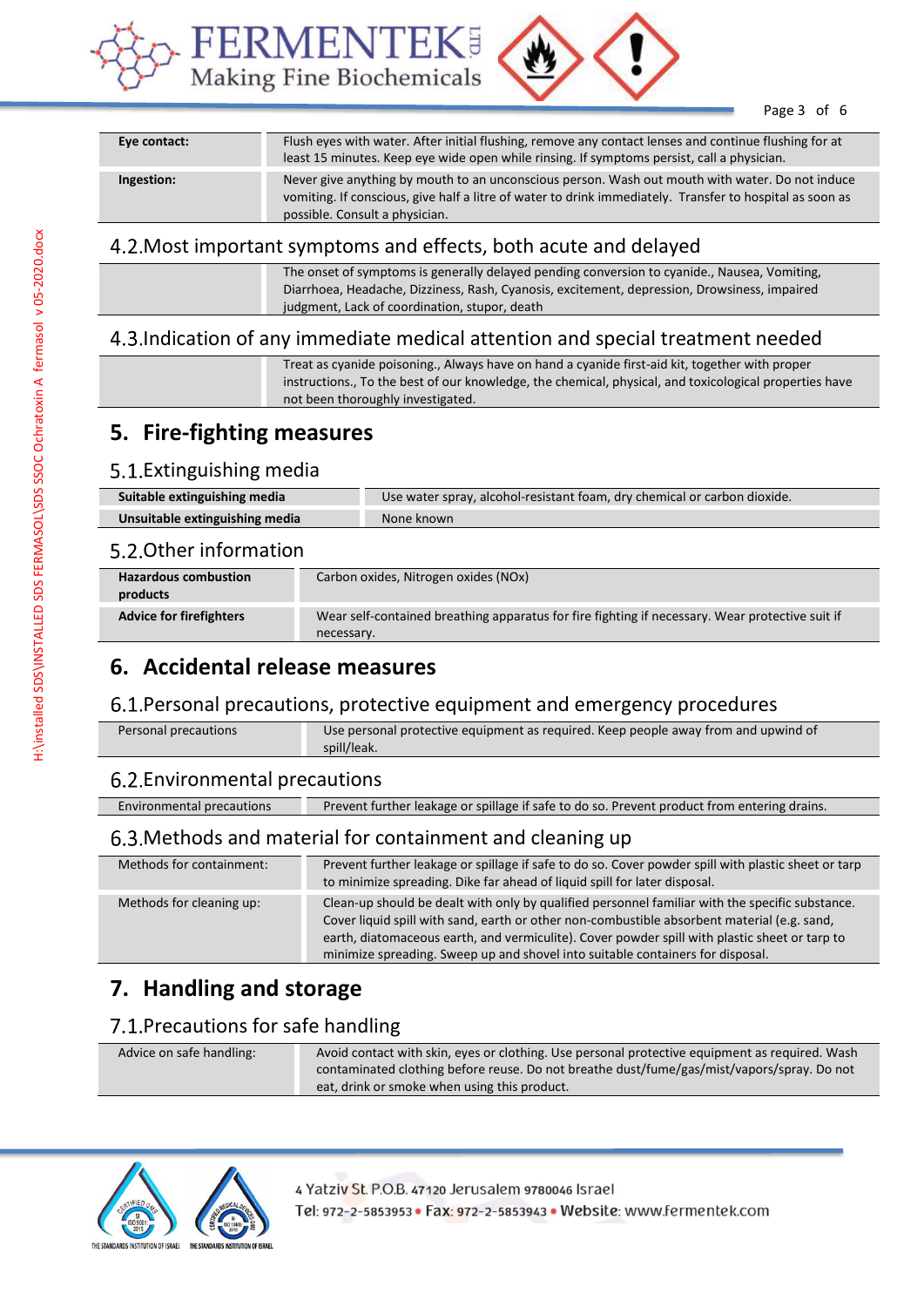



Page 3 of 6

| Eye contact: | Flush eyes with water. After initial flushing, remove any contact lenses and continue flushing for at<br>least 15 minutes. Keep eye wide open while rinsing. If symptoms persist, call a physician.                                           |
|--------------|-----------------------------------------------------------------------------------------------------------------------------------------------------------------------------------------------------------------------------------------------|
| Ingestion:   | Never give anything by mouth to an unconscious person. Wash out mouth with water. Do not induce<br>vomiting. If conscious, give half a litre of water to drink immediately. Transfer to hospital as soon as<br>possible. Consult a physician. |

#### Most important symptoms and effects, both acute and delayed

|  |  | The onset of symptoms is generally delayed pending conversion to cyanide., Nausea, Vomiting,<br>Diarrhoea, Headache, Dizziness, Rash, Cyanosis, excitement, depression, Drowsiness, impaired<br>judgment, Lack of coordination, stupor, death |
|--|--|-----------------------------------------------------------------------------------------------------------------------------------------------------------------------------------------------------------------------------------------------|
|--|--|-----------------------------------------------------------------------------------------------------------------------------------------------------------------------------------------------------------------------------------------------|

### Indication of any immediate medical attention and special treatment needed

Treat as cyanide poisoning., Always have on hand a cyanide first-aid kit, together with proper instructions., To the best of our knowledge, the chemical, physical, and toxicological properties have not been thoroughly investigated.

## **5. Fire-fighting measures**

#### 5.1. Extinguishing media

| Suitable extinguishing media   | Use water spray, alcohol-resistant foam, dry chemical or carbon dioxide. |
|--------------------------------|--------------------------------------------------------------------------|
| Unsuitable extinguishing media | None known                                                               |

#### 5.2. Other information

| <b>Hazardous combustion</b><br>products | Carbon oxides, Nitrogen oxides (NOx)                                                                          |
|-----------------------------------------|---------------------------------------------------------------------------------------------------------------|
| <b>Advice for firefighters</b>          | Wear self-contained breathing apparatus for fire fighting if necessary. Wear protective suit if<br>necessary. |

## **6. Accidental release measures**

#### 6.1. Personal precautions, protective equipment and emergency procedures

| Personal precautions | Use personal protective equipment as required. Keep people away from and upwind of |  |
|----------------------|------------------------------------------------------------------------------------|--|
|                      | spill/leak.                                                                        |  |

#### Environmental precautions

Environmental precautions Prevent further leakage or spillage if safe to do so. Prevent product from entering drains.

#### Methods and material for containment and cleaning up

| Methods for containment: | Prevent further leakage or spillage if safe to do so. Cover powder spill with plastic sheet or tarp<br>to minimize spreading. Dike far ahead of liquid spill for later disposal.                                                                                                                                                                                                  |
|--------------------------|-----------------------------------------------------------------------------------------------------------------------------------------------------------------------------------------------------------------------------------------------------------------------------------------------------------------------------------------------------------------------------------|
| Methods for cleaning up: | Clean-up should be dealt with only by qualified personnel familiar with the specific substance.<br>Cover liquid spill with sand, earth or other non-combustible absorbent material (e.g. sand,<br>earth, diatomaceous earth, and vermiculite). Cover powder spill with plastic sheet or tarp to<br>minimize spreading. Sweep up and shovel into suitable containers for disposal. |

# **7. Handling and storage**

### 7.1. Precautions for safe handling

| Advice on safe handling: | Avoid contact with skin, eyes or clothing. Use personal protective equipment as required. Wash<br>contaminated clothing before reuse. Do not breathe dust/fume/gas/mist/vapors/spray. Do not |
|--------------------------|----------------------------------------------------------------------------------------------------------------------------------------------------------------------------------------------|
|                          | eat, drink or smoke when using this product.                                                                                                                                                 |



4 Yatziv St. P.O.B. 47120 Jerusalem 9780046 Israel Tel: 972-2-5853953 · Fax: 972-2-5853943 · Website: www.fermentek.com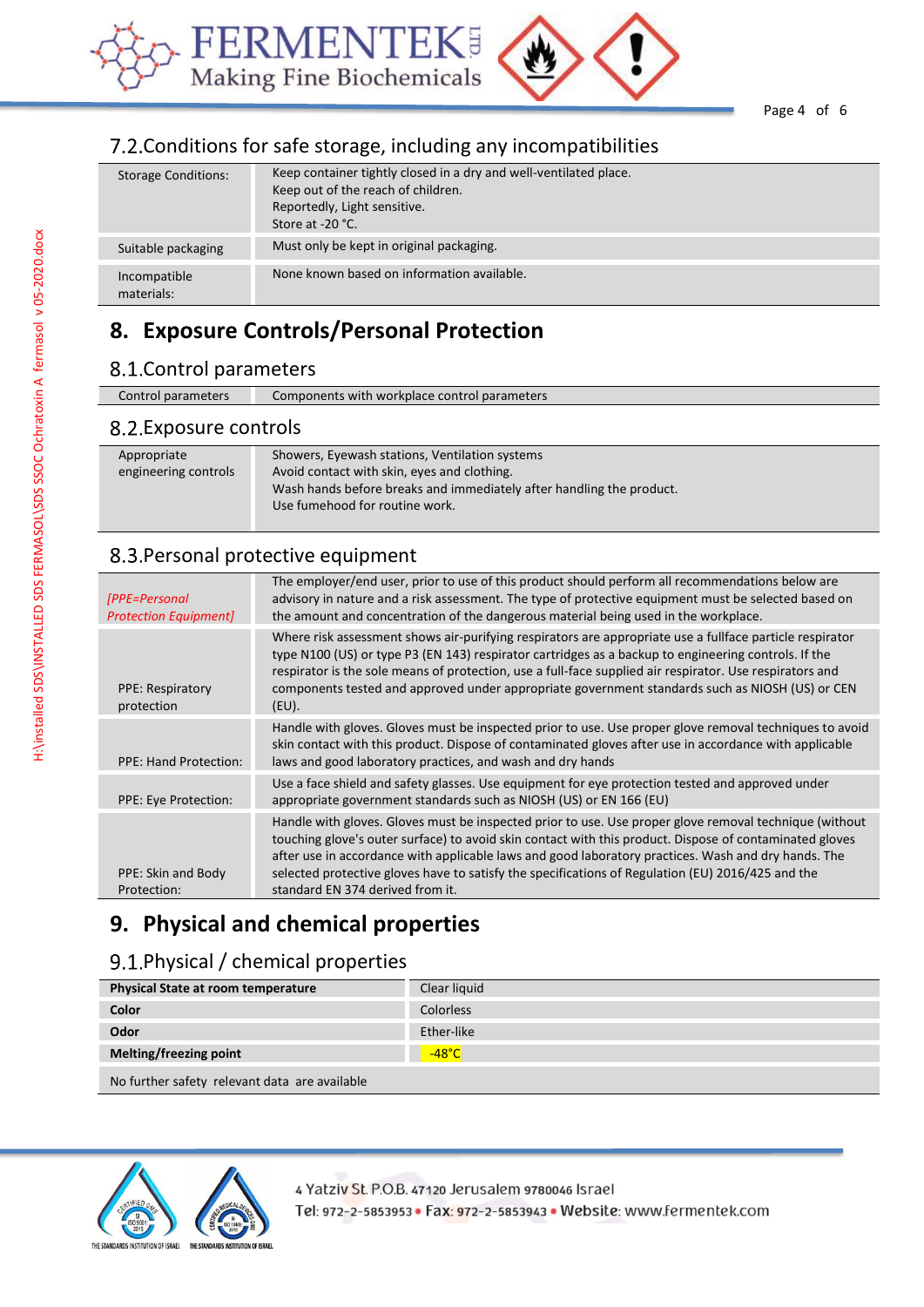



Page 4 of 6

## 7.2. Conditions for safe storage, including any incompatibilities

| <b>Storage Conditions:</b> | Keep container tightly closed in a dry and well-ventilated place.<br>Keep out of the reach of children.<br>Reportedly, Light sensitive.<br>Store at -20 °C. |
|----------------------------|-------------------------------------------------------------------------------------------------------------------------------------------------------------|
| Suitable packaging         | Must only be kept in original packaging.                                                                                                                    |
| Incompatible<br>materials: | None known based on information available.                                                                                                                  |

# **8. Exposure Controls/Personal Protection**

## 8.1. Control parameters

| Control parameters                  | Components with workplace control parameters                                                                                                                                                            |
|-------------------------------------|---------------------------------------------------------------------------------------------------------------------------------------------------------------------------------------------------------|
| 8.2. Exposure controls              |                                                                                                                                                                                                         |
| Appropriate<br>engineering controls | Showers, Eyewash stations, Ventilation systems<br>Avoid contact with skin, eyes and clothing.<br>Wash hands before breaks and immediately after handling the product.<br>Use fumehood for routine work. |

## 8.3. Personal protective equipment

| [PPE=Personal]<br><b>Protection Equipment]</b> | The employer/end user, prior to use of this product should perform all recommendations below are<br>advisory in nature and a risk assessment. The type of protective equipment must be selected based on<br>the amount and concentration of the dangerous material being used in the workplace.                                                                                                                                                                   |
|------------------------------------------------|-------------------------------------------------------------------------------------------------------------------------------------------------------------------------------------------------------------------------------------------------------------------------------------------------------------------------------------------------------------------------------------------------------------------------------------------------------------------|
| <b>PPE: Respiratory</b><br>protection          | Where risk assessment shows air-purifying respirators are appropriate use a fullface particle respirator<br>type N100 (US) or type P3 (EN 143) respirator cartridges as a backup to engineering controls. If the<br>respirator is the sole means of protection, use a full-face supplied air respirator. Use respirators and<br>components tested and approved under appropriate government standards such as NIOSH (US) or CEN<br>$(EU)$ .                       |
| <b>PPE: Hand Protection:</b>                   | Handle with gloves. Gloves must be inspected prior to use. Use proper glove removal techniques to avoid<br>skin contact with this product. Dispose of contaminated gloves after use in accordance with applicable<br>laws and good laboratory practices, and wash and dry hands                                                                                                                                                                                   |
| PPE: Eye Protection:                           | Use a face shield and safety glasses. Use equipment for eye protection tested and approved under<br>appropriate government standards such as NIOSH (US) or EN 166 (EU)                                                                                                                                                                                                                                                                                            |
| PPE: Skin and Body<br>Protection:              | Handle with gloves. Gloves must be inspected prior to use. Use proper glove removal technique (without<br>touching glove's outer surface) to avoid skin contact with this product. Dispose of contaminated gloves<br>after use in accordance with applicable laws and good laboratory practices. Wash and dry hands. The<br>selected protective gloves have to satisfy the specifications of Regulation (EU) 2016/425 and the<br>standard EN 374 derived from it. |
|                                                |                                                                                                                                                                                                                                                                                                                                                                                                                                                                   |

# **9. Physical and chemical properties**

## 9.1. Physical / chemical properties

| <b>Physical State at room temperature</b>     | Clear liquid    |
|-----------------------------------------------|-----------------|
| Color                                         | Colorless       |
| Odor                                          | Ether-like      |
| Melting/freezing point                        | $-48^{\circ}$ C |
| No further safety relevant data are available |                 |

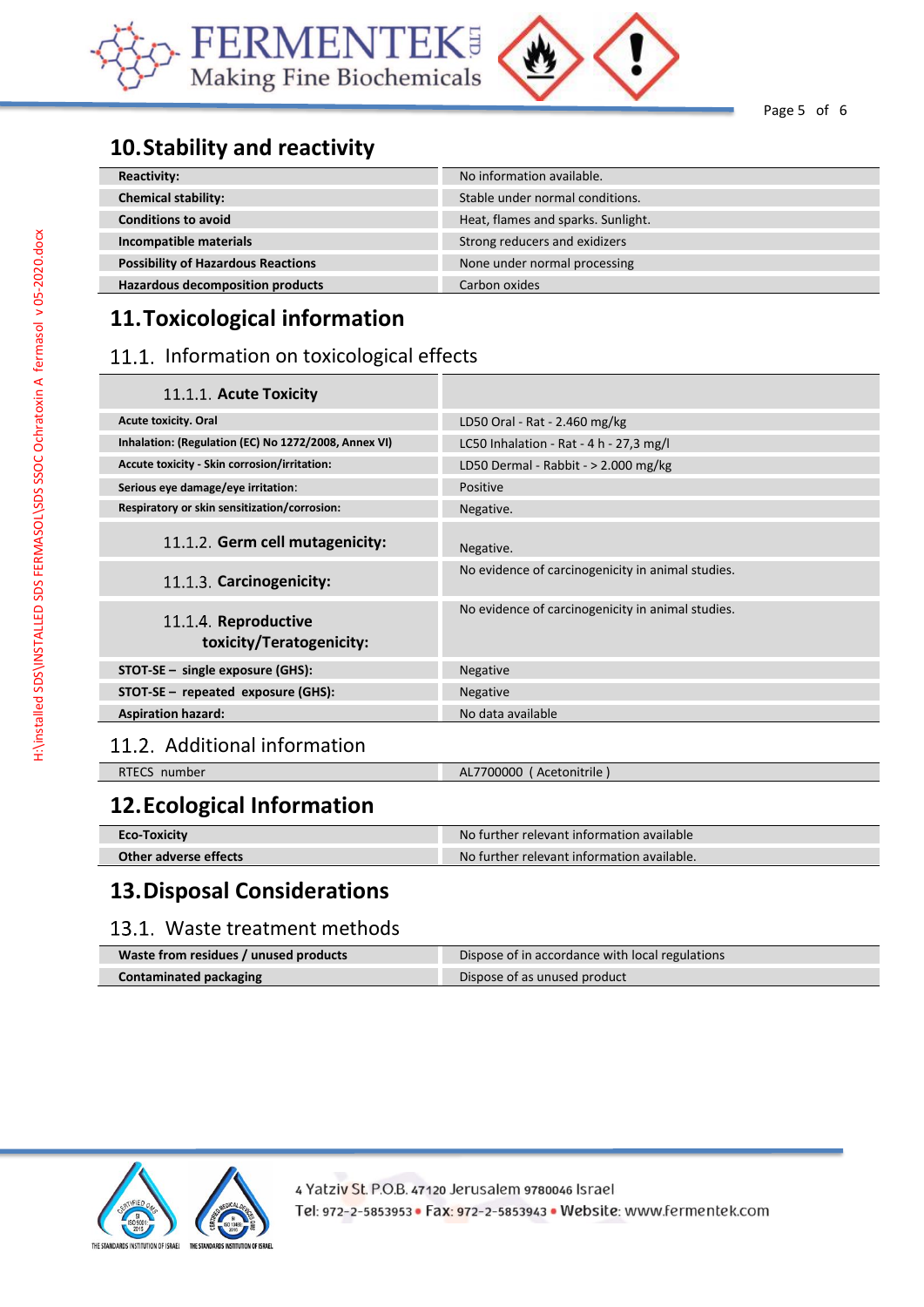



Page 5 of 6

# **10.Stability and reactivity**

| <b>Reactivity:</b>                        | No information available.          |
|-------------------------------------------|------------------------------------|
| <b>Chemical stability:</b>                | Stable under normal conditions.    |
| <b>Conditions to avoid</b>                | Heat, flames and sparks. Sunlight. |
| Incompatible materials                    | Strong reducers and exidizers      |
| <b>Possibility of Hazardous Reactions</b> | None under normal processing       |
| <b>Hazardous decomposition products</b>   | Carbon oxides                      |

# **11.Toxicological information**

### 11.1. Information on toxicological effects

| 11.1.1. Acute Toxicity                               |                                                   |
|------------------------------------------------------|---------------------------------------------------|
| <b>Acute toxicity. Oral</b>                          | LD50 Oral - Rat - 2.460 mg/kg                     |
| Inhalation: (Regulation (EC) No 1272/2008, Annex VI) | LC50 Inhalation - Rat - 4 h - 27,3 mg/l           |
| Accute toxicity - Skin corrosion/irritation:         | LD50 Dermal - Rabbit - $> 2.000$ mg/kg            |
| Serious eye damage/eye irritation:                   | <b>Positive</b>                                   |
| Respiratory or skin sensitization/corrosion:         | Negative.                                         |
| 11.1.2. Germ cell mutagenicity:                      | Negative.                                         |
| 11.1.3. Carcinogenicity:                             | No evidence of carcinogenicity in animal studies. |
| 11.1.4. Reproductive<br>toxicity/Teratogenicity:     | No evidence of carcinogenicity in animal studies. |
| $STOT-SE$ – single exposure (GHS):                   | <b>Negative</b>                                   |
| STOT-SE - repeated exposure (GHS):                   | <b>Negative</b>                                   |
| <b>Aspiration hazard:</b>                            | No data available                                 |

## 11.2. Additional information

| <b>RTECS</b><br>number | AL7700000<br>' Acetonitrile |
|------------------------|-----------------------------|
|                        |                             |

# **12.Ecological Information**

| <b>Eco-Toxicity</b>   | No further relevant information available  |
|-----------------------|--------------------------------------------|
| Other adverse effects | No further relevant information available. |

## **13.Disposal Considerations**

### 13.1. Waste treatment methods

| Waste from residues / unused products | Dispose of in accordance with local regulations |
|---------------------------------------|-------------------------------------------------|
| Contaminated packaging                | Dispose of as unused product                    |